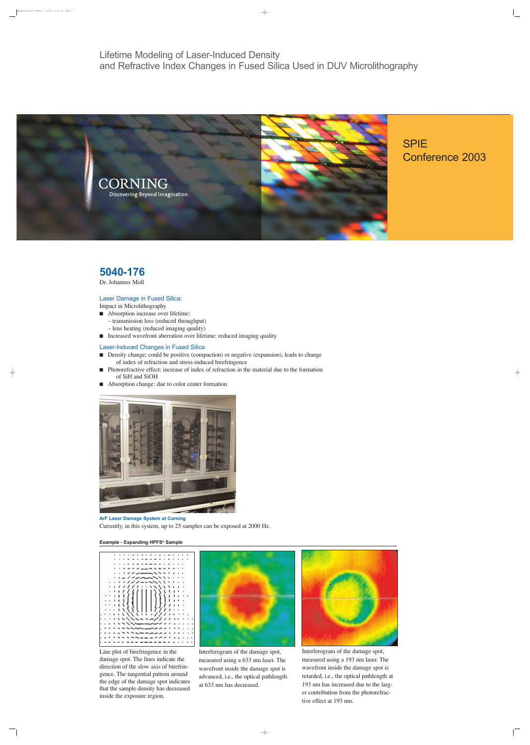SPIE Conference 2003 <u>| </u>

 $\overline{\Uparrow}$ 

 $\overline{\Box}$ 

Lifetime Modeling of Laser-Induced Density and Refractive Index Changes in Fused Silica Used in DUV Microlithography



# **5040-176**

Dr. Johannes Moll

# Laser Damage in Fused Silica:

Impact in Microlithography

- Absorption increase over lifetime:
	- transmission loss (reduced throughput) – lens heating (reduced imaging quality)
- Increased wavefront aberration over lifetime: reduced imaging quality

## Laser-Induced Changes in Fused Silica

- Density change: could be positive (compaction) or negative (expansion), leads to change of index of refraction and stress-induced birefringence
- Photorefractive effect: increase of index of refraction in the material due to the formation of SiH and SiOH
- Absorption change: due to color center formation



**ArF Laser Damage System at Corning** Currently, in this system, up to 25 samples can be exposed at 2000 Hz.



Line plot of birefringence in the damage spot. The lines indicate the direction of the slow axis of birefringence. The tangential pattern around the edge of the damage spot indicates that the sample density has decreased inside the exposure region.

 $\Box$ 

Interferogram of the damage spot, measured using a 633 nm laser. The wavefront inside the damage spot is advanced, i.e., the optical pathlength at 633 nm has decreased.

 $\rightarrow$ 



Interferogram of the damage spot, measured using a 193 nm laser. The wavefront inside the damage spot is retarded, i.e., the optical pathlength at 193 nm has increased due to the larger contribution from the photorefractive effect at 193 nm.

SPIEposter5040-176Moll 2/13/03 4:20 PM Page 1